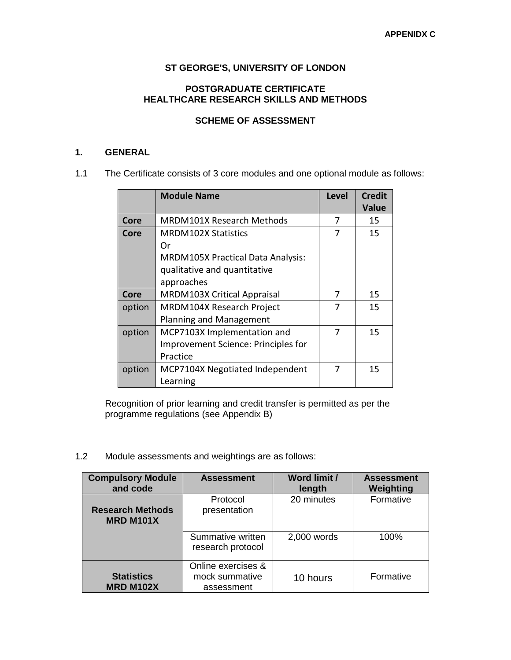## **ST GEORGE'S, UNIVERSITY OF LONDON**

## **POSTGRADUATE CERTIFICATE HEALTHCARE RESEARCH SKILLS AND METHODS**

# **SCHEME OF ASSESSMENT**

# **1. GENERAL**

1.1 The Certificate consists of 3 core modules and one optional module as follows:

|             | <b>Module Name</b>                         | <b>Level</b> | <b>Credit</b><br><b>Value</b> |
|-------------|--------------------------------------------|--------------|-------------------------------|
| Core        | <b>MRDM101X Research Methods</b>           | 7            | 15                            |
| Core        | <b>MRDM102X Statistics</b>                 | 7            | 15                            |
|             | Or                                         |              |                               |
|             | MRDM105X Practical Data Analysis:          |              |                               |
|             | qualitative and quantitative               |              |                               |
|             | approaches                                 |              |                               |
| <b>Core</b> | MRDM103X Critical Appraisal                | 7            | 15                            |
| option      | MRDM104X Research Project                  | 7            | 15                            |
|             | Planning and Management                    |              |                               |
| option      | MCP7103X Implementation and                | 7            | 15                            |
|             | <b>Improvement Science: Principles for</b> |              |                               |
|             | Practice                                   |              |                               |
| option      | MCP7104X Negotiated Independent            | 7            | 15                            |
|             | Learning                                   |              |                               |

Recognition of prior learning and credit transfer is permitted as per the programme regulations (see Appendix B)

1.2 Module assessments and weightings are as follows:

| <b>Compulsory Module</b><br>and code        | <b>Assessment</b>                                  | <b>Word limit /</b><br>length | <b>Assessment</b><br>Weighting |
|---------------------------------------------|----------------------------------------------------|-------------------------------|--------------------------------|
| <b>Research Methods</b><br><b>MRD M101X</b> | Protocol<br>presentation                           | 20 minutes                    | Formative                      |
|                                             | Summative written<br>research protocol             | 2,000 words                   | 100%                           |
| <b>Statistics</b><br><b>MRD M102X</b>       | Online exercises &<br>mock summative<br>assessment | 10 hours                      | Formative                      |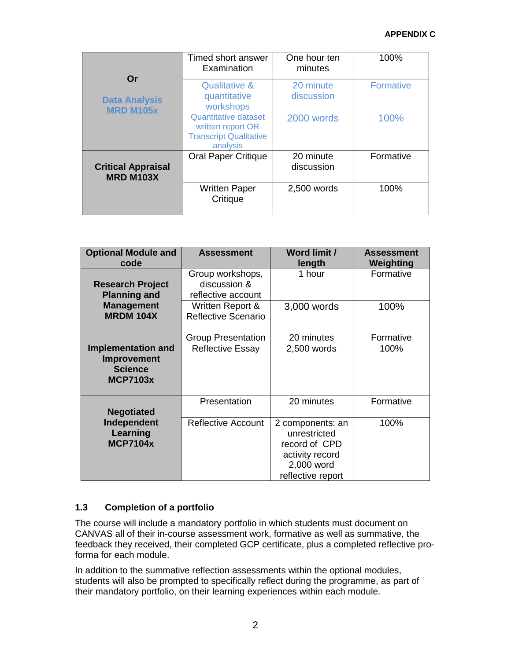#### **APPENDIX C**

| Or                                            | Timed short answer<br>Examination                                                             | One hour ten<br>minutes | 100%             |
|-----------------------------------------------|-----------------------------------------------------------------------------------------------|-------------------------|------------------|
| <b>Data Analysis</b><br><b>MRD M105x</b>      | <b>Qualitative &amp;</b><br>quantitative<br>workshops                                         | 20 minute<br>discussion | <b>Formative</b> |
|                                               | <b>Quantitative dataset</b><br>written report OR<br><b>Transcript Qualitative</b><br>analysis | 2000 words              | 100%             |
| <b>Critical Appraisal</b><br><b>MRD M103X</b> | <b>Oral Paper Critique</b>                                                                    | 20 minute<br>discussion | Formative        |
|                                               | <b>Written Paper</b><br>Critique                                                              | 2,500 words             | 100%             |

| <b>Optional Module and</b><br>code                                            | <b>Assessment</b>                                      | <b>Word limit /</b><br>length                                                                           | <b>Assessment</b><br>Weighting |
|-------------------------------------------------------------------------------|--------------------------------------------------------|---------------------------------------------------------------------------------------------------------|--------------------------------|
| <b>Research Project</b><br><b>Planning and</b>                                | Group workshops,<br>discussion &<br>reflective account | 1 hour                                                                                                  | Formative                      |
| <b>Management</b><br><b>MRDM 104X</b>                                         | Written Report &<br><b>Reflective Scenario</b>         | 3,000 words                                                                                             | 100%                           |
|                                                                               | <b>Group Presentation</b>                              | 20 minutes                                                                                              | Formative                      |
| <b>Implementation and</b><br>Improvement<br><b>Science</b><br><b>MCP7103x</b> | <b>Reflective Essay</b>                                | 2,500 words                                                                                             | 100%                           |
| <b>Negotiated</b>                                                             | Presentation                                           | 20 minutes                                                                                              | Formative                      |
| Independent<br>Learning<br><b>MCP7104x</b>                                    | <b>Reflective Account</b>                              | 2 components: an<br>unrestricted<br>record of CPD<br>activity record<br>2,000 word<br>reflective report | 100%                           |

## **1.3 Completion of a portfolio**

The course will include a mandatory portfolio in which students must document on CANVAS all of their in-course assessment work, formative as well as summative, the feedback they received, their completed GCP certificate, plus a completed reflective proforma for each module.

In addition to the summative reflection assessments within the optional modules, students will also be prompted to specifically reflect during the programme, as part of their mandatory portfolio, on their learning experiences within each module.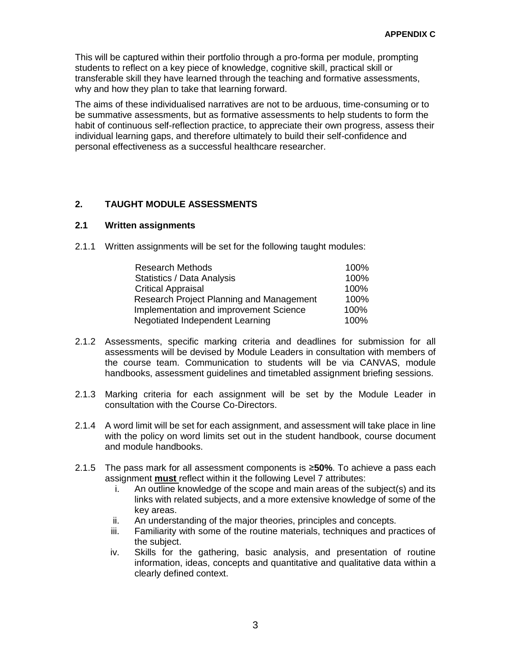This will be captured within their portfolio through a pro-forma per module, prompting students to reflect on a key piece of knowledge, cognitive skill, practical skill or transferable skill they have learned through the teaching and formative assessments, why and how they plan to take that learning forward.

The aims of these individualised narratives are not to be arduous, time-consuming or to be summative assessments, but as formative assessments to help students to form the habit of continuous self-reflection practice, to appreciate their own progress, assess their individual learning gaps, and therefore ultimately to build their self-confidence and personal effectiveness as a successful healthcare researcher.

# **2. TAUGHT MODULE ASSESSMENTS**

## **2.1 Written assignments**

2.1.1 Written assignments will be set for the following taught modules:

| <b>Research Methods</b>                  | 100% |
|------------------------------------------|------|
| <b>Statistics / Data Analysis</b>        | 100% |
| <b>Critical Appraisal</b>                | 100% |
| Research Project Planning and Management | 100% |
| Implementation and improvement Science   | 100% |
| Negotiated Independent Learning          | 100% |

- 2.1.2 Assessments, specific marking criteria and deadlines for submission for all assessments will be devised by Module Leaders in consultation with members of the course team. Communication to students will be via CANVAS, module handbooks, assessment guidelines and timetabled assignment briefing sessions.
- 2.1.3 Marking criteria for each assignment will be set by the Module Leader in consultation with the Course Co-Directors.
- 2.1.4 A word limit will be set for each assignment, and assessment will take place in line with the policy on word limits set out in the student handbook, course document and module handbooks.
- 2.1.5 The pass mark for all assessment components is ≥**50%**. To achieve a pass each assignment **must** reflect within it the following Level 7 attributes:
	- i. An outline knowledge of the scope and main areas of the subject(s) and its links with related subjects, and a more extensive knowledge of some of the key areas.
	- ii. An understanding of the major theories, principles and concepts.
	- iii. Familiarity with some of the routine materials, techniques and practices of the subject.
	- iv. Skills for the gathering, basic analysis, and presentation of routine information, ideas, concepts and quantitative and qualitative data within a clearly defined context.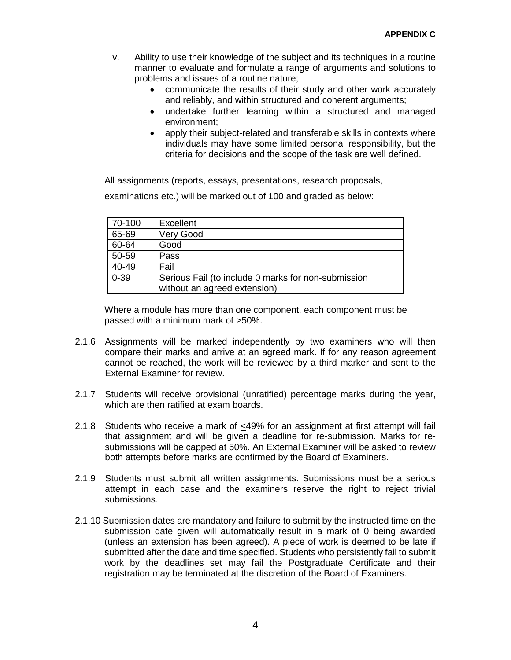- v. Ability to use their knowledge of the subject and its techniques in a routine manner to evaluate and formulate a range of arguments and solutions to problems and issues of a routine nature;
	- communicate the results of their study and other work accurately and reliably, and within structured and coherent arguments;
	- undertake further learning within a structured and managed environment;
	- apply their subject-related and transferable skills in contexts where individuals may have some limited personal responsibility, but the criteria for decisions and the scope of the task are well defined.

All assignments (reports, essays, presentations, research proposals,

examinations etc.) will be marked out of 100 and graded as below:

| 70-100   | <b>Excellent</b>                                    |
|----------|-----------------------------------------------------|
| 65-69    | <b>Very Good</b>                                    |
| 60-64    | Good                                                |
| 50-59    | Pass                                                |
| 40-49    | Fail                                                |
| $0 - 39$ | Serious Fail (to include 0 marks for non-submission |
|          | without an agreed extension)                        |

Where a module has more than one component, each component must be passed with a minimum mark of >50%.

- 2.1.6 Assignments will be marked independently by two examiners who will then compare their marks and arrive at an agreed mark. If for any reason agreement cannot be reached, the work will be reviewed by a third marker and sent to the External Examiner for review.
- 2.1.7 Students will receive provisional (unratified) percentage marks during the year, which are then ratified at exam boards.
- 2.1.8 Students who receive a mark of <49% for an assignment at first attempt will fail that assignment and will be given a deadline for re-submission. Marks for resubmissions will be capped at 50%. An External Examiner will be asked to review both attempts before marks are confirmed by the Board of Examiners.
- 2.1.9 Students must submit all written assignments. Submissions must be a serious attempt in each case and the examiners reserve the right to reject trivial submissions.
- 2.1.10 Submission dates are mandatory and failure to submit by the instructed time on the submission date given will automatically result in a mark of 0 being awarded (unless an extension has been agreed). A piece of work is deemed to be late if submitted after the date and time specified. Students who persistently fail to submit work by the deadlines set may fail the Postgraduate Certificate and their registration may be terminated at the discretion of the Board of Examiners.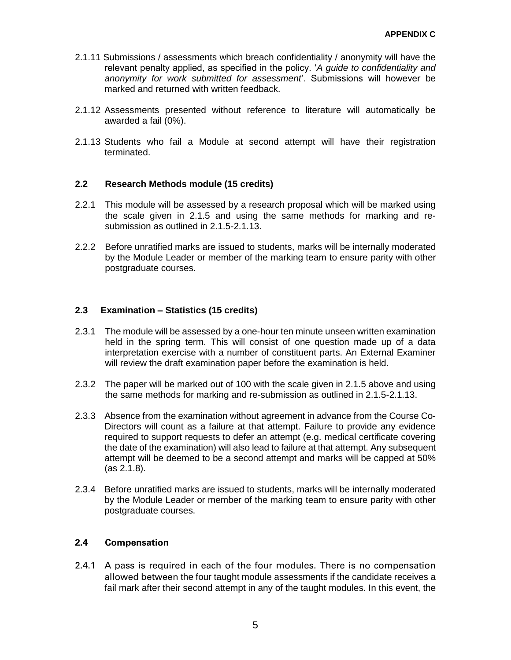- 2.1.11 Submissions / assessments which breach confidentiality / anonymity will have the relevant penalty applied, as specified in the policy. '*A guide to confidentiality and anonymity for work submitted for assessment*'. Submissions will however be marked and returned with written feedback.
- 2.1.12 Assessments presented without reference to literature will automatically be awarded a fail (0%).
- 2.1.13 Students who fail a Module at second attempt will have their registration terminated.

### **2.2 Research Methods module (15 credits)**

- 2.2.1 This module will be assessed by a research proposal which will be marked using the scale given in 2.1.5 and using the same methods for marking and resubmission as outlined in 2.1.5-2.1.13.
- 2.2.2 Before unratified marks are issued to students, marks will be internally moderated by the Module Leader or member of the marking team to ensure parity with other postgraduate courses.

### **2.3 Examination – Statistics (15 credits)**

- 2.3.1 The module will be assessed by a one-hour ten minute unseen written examination held in the spring term. This will consist of one question made up of a data interpretation exercise with a number of constituent parts. An External Examiner will review the draft examination paper before the examination is held.
- 2.3.2 The paper will be marked out of 100 with the scale given in 2.1.5 above and using the same methods for marking and re-submission as outlined in 2.1.5-2.1.13.
- 2.3.3 Absence from the examination without agreement in advance from the Course Co-Directors will count as a failure at that attempt. Failure to provide any evidence required to support requests to defer an attempt (e.g. medical certificate covering the date of the examination) will also lead to failure at that attempt. Any subsequent attempt will be deemed to be a second attempt and marks will be capped at 50% (as 2.1.8).
- 2.3.4 Before unratified marks are issued to students, marks will be internally moderated by the Module Leader or member of the marking team to ensure parity with other postgraduate courses.

## **2.4 Compensation**

2.4.1 A pass is required in each of the four modules. There is no compensation allowed between the four taught module assessments if the candidate receives a fail mark after their second attempt in any of the taught modules. In this event, the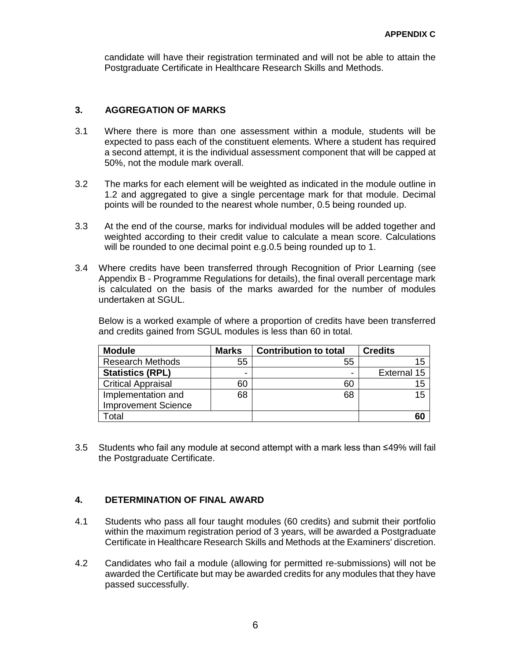candidate will have their registration terminated and will not be able to attain the Postgraduate Certificate in Healthcare Research Skills and Methods.

## **3. AGGREGATION OF MARKS**

- 3.1 Where there is more than one assessment within a module, students will be expected to pass each of the constituent elements. Where a student has required a second attempt, it is the individual assessment component that will be capped at 50%, not the module mark overall.
- 3.2 The marks for each element will be weighted as indicated in the module outline in 1.2 and aggregated to give a single percentage mark for that module. Decimal points will be rounded to the nearest whole number, 0.5 being rounded up.
- 3.3 At the end of the course, marks for individual modules will be added together and weighted according to their credit value to calculate a mean score. Calculations will be rounded to one decimal point e.g.0.5 being rounded up to 1.
- 3.4 Where credits have been transferred through Recognition of Prior Learning (see Appendix B - Programme Regulations for details), the final overall percentage mark is calculated on the basis of the marks awarded for the number of modules undertaken at SGUL.

Below is a worked example of where a proportion of credits have been transferred and credits gained from SGUL modules is less than 60 in total.

| <b>Module</b>              | <b>Marks</b> | <b>Contribution to total</b> | <b>Credits</b> |
|----------------------------|--------------|------------------------------|----------------|
| <b>Research Methods</b>    | 55           | 55                           | 15             |
| <b>Statistics (RPL)</b>    | -            | -                            | External 15    |
| <b>Critical Appraisal</b>  | 60           | 60                           | 15             |
| Implementation and         | 68           | 68                           | 15             |
| <b>Improvement Science</b> |              |                              |                |
| Total                      |              |                              | 60             |

3.5 Students who fail any module at second attempt with a mark less than ≤49% will fail the Postgraduate Certificate.

#### **4. DETERMINATION OF FINAL AWARD**

- 4.1 Students who pass all four taught modules (60 credits) and submit their portfolio within the maximum registration period of 3 years, will be awarded a Postgraduate Certificate in Healthcare Research Skills and Methods at the Examiners' discretion.
- 4.2 Candidates who fail a module (allowing for permitted re-submissions) will not be awarded the Certificate but may be awarded credits for any modules that they have passed successfully.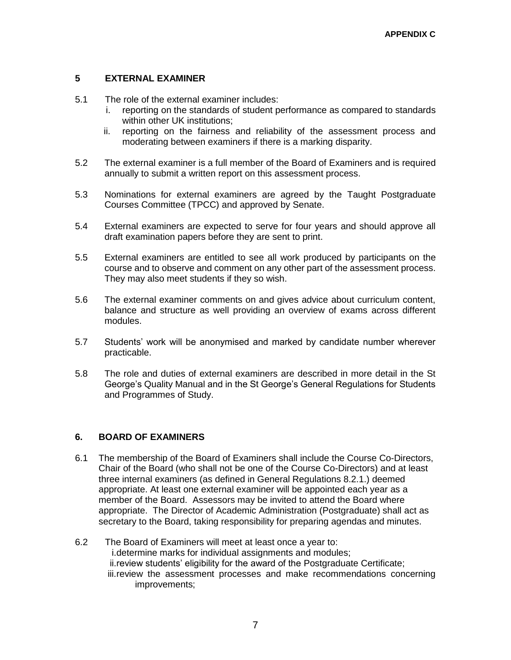# **5 EXTERNAL EXAMINER**

- 5.1 The role of the external examiner includes:
	- i. reporting on the standards of student performance as compared to standards within other UK institutions:
	- ii. reporting on the fairness and reliability of the assessment process and moderating between examiners if there is a marking disparity.
- 5.2 The external examiner is a full member of the Board of Examiners and is required annually to submit a written report on this assessment process.
- 5.3 Nominations for external examiners are agreed by the Taught Postgraduate Courses Committee (TPCC) and approved by Senate.
- 5.4 External examiners are expected to serve for four years and should approve all draft examination papers before they are sent to print.
- 5.5 External examiners are entitled to see all work produced by participants on the course and to observe and comment on any other part of the assessment process. They may also meet students if they so wish.
- 5.6 The external examiner comments on and gives advice about curriculum content, balance and structure as well providing an overview of exams across different modules.
- 5.7 Students' work will be anonymised and marked by candidate number wherever practicable.
- 5.8 The role and duties of external examiners are described in more detail in the St George's Quality Manual and in the St George's General Regulations for Students and Programmes of Study.

## **6. BOARD OF EXAMINERS**

- 6.1 The membership of the Board of Examiners shall include the Course Co-Directors, Chair of the Board (who shall not be one of the Course Co-Directors) and at least three internal examiners (as defined in General Regulations 8.2.1.) deemed appropriate. At least one external examiner will be appointed each year as a member of the Board. Assessors may be invited to attend the Board where appropriate. The Director of Academic Administration (Postgraduate) shall act as secretary to the Board, taking responsibility for preparing agendas and minutes.
- 6.2 The Board of Examiners will meet at least once a year to: i.determine marks for individual assignments and modules; ii.review students' eligibility for the award of the Postgraduate Certificate; iii.review the assessment processes and make recommendations concerning improvements;